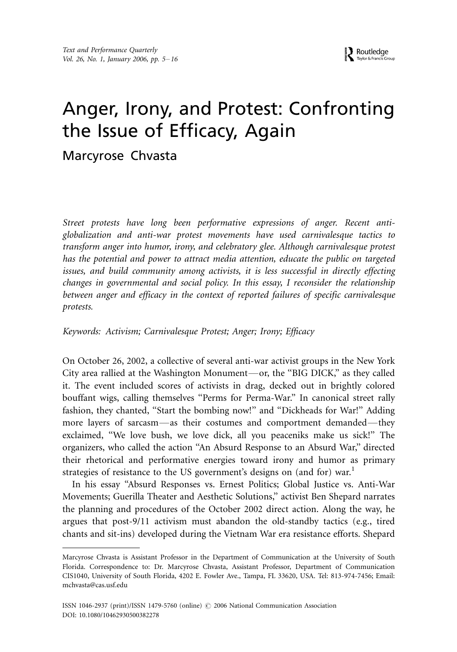# Anger, Irony, and Protest: Confronting the Issue of Efficacy, Again

## Marcyrose Chvasta

Street protests have long been performative expressions of anger. Recent antiglobalization and anti-war protest movements have used carnivalesque tactics to transform anger into humor, irony, and celebratory glee. Although carnivalesque protest has the potential and power to attract media attention, educate the public on targeted issues, and build community among activists, it is less successful in directly effecting changes in governmental and social policy. In this essay, I reconsider the relationship between anger and efficacy in the context of reported failures of specific carnivalesque protests.

### Keywords: Activism; Carnivalesque Protest; Anger; Irony; Efficacy

On October 26, 2002, a collective of several anti-war activist groups in the New York City area rallied at the Washington Monument—or, the "BIG DICK," as they called it. The event included scores of activists in drag, decked out in brightly colored bouffant wigs, calling themselves ''Perms for Perma-War.'' In canonical street rally fashion, they chanted, "Start the bombing now!" and "Dickheads for War!" Adding more layers of sarcasm-as their costumes and comportment demanded-they exclaimed, ''We love bush, we love dick, all you peaceniks make us sick!'' The organizers, who called the action ''An Absurd Response to an Absurd War,'' directed their rhetorical and performative energies toward irony and humor as primary strategies of resistance to the US government's designs on (and for) war.<sup>1</sup>

In his essay ''Absurd Responses vs. Ernest Politics; Global Justice vs. Anti-War Movements; Guerilla Theater and Aesthetic Solutions,'' activist Ben Shepard narrates the planning and procedures of the October 2002 direct action. Along the way, he argues that post-9/11 activism must abandon the old-standby tactics (e.g., tired chants and sit-ins) developed during the Vietnam War era resistance efforts. Shepard

Marcyrose Chvasta is Assistant Professor in the Department of Communication at the University of South Florida. Correspondence to: Dr. Marcyrose Chvasta, Assistant Professor, Department of Communication CIS1040, University of South Florida, 4202 E. Fowler Ave., Tampa, FL 33620, USA. Tel: 813-974-7456; Email: mchvasta@cas.usf.edu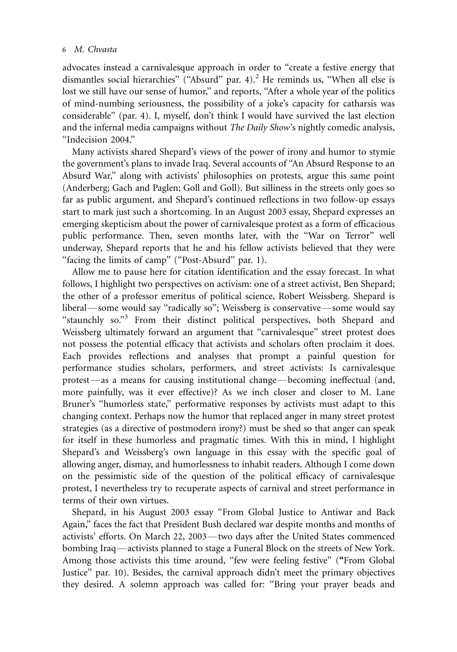advocates instead a carnivalesque approach in order to ''create a festive energy that dismantles social hierarchies" ("Absurd" par. 4).<sup>2</sup> He reminds us, "When all else is lost we still have our sense of humor," and reports, "After a whole year of the politics of mind-numbing seriousness, the possibility of a joke's capacity for catharsis was considerable'' (par. 4). I, myself, don't think I would have survived the last election and the infernal media campaigns without *The Daily Show's* nightly comedic analysis, ''Indecision 2004.''

Many activists shared Shepard's views of the power of irony and humor to stymie the government's plans to invade Iraq. Several accounts of ''An Absurd Response to an Absurd War,'' along with activists' philosophies on protests, argue this same point (Anderberg; Gach and Paglen; Goll and Goll). But silliness in the streets only goes so far as public argument, and Shepard's continued reflections in two follow-up essays start to mark just such a shortcoming. In an August 2003 essay, Shepard expresses an emerging skepticism about the power of carnivalesque protest as a form of efficacious public performance. Then, seven months later, with the ''War on Terror'' well underway, Shepard reports that he and his fellow activists believed that they were "facing the limits of camp" ("Post-Absurd" par. 1).

Allow me to pause here for citation identification and the essay forecast. In what follows, I highlight two perspectives on activism: one of a street activist, Ben Shepard; the other of a professor emeritus of political science, Robert Weissberg. Shepard is liberal—some would say "radically so"; Weissberg is conservative—some would say "staunchly so."<sup>3</sup> From their distinct political perspectives, both Shepard and Weissberg ultimately forward an argument that ''carnivalesque'' street protest does not possess the potential efficacy that activists and scholars often proclaim it does. Each provides reflections and analyses that prompt a painful question for performance studies scholars, performers, and street activists: Is carnivalesque protest—as a means for causing institutional change—becoming ineffectual (and, more painfully, was it ever effective)? As we inch closer and closer to M. Lane Bruner's ''humorless state,'' performative responses by activists must adapt to this changing context. Perhaps now the humor that replaced anger in many street protest strategies (as a directive of postmodern irony?) must be shed so that anger can speak for itself in these humorless and pragmatic times. With this in mind, I highlight Shepard's and Weissberg's own language in this essay with the specific goal of allowing anger, dismay, and humorlessness to inhabit readers. Although I come down on the pessimistic side of the question of the political efficacy of carnivalesque protest, I nevertheless try to recuperate aspects of carnival and street performance in terms of their own virtues.

Shepard, in his August 2003 essay ''From Global Justice to Antiwar and Back Again,'' faces the fact that President Bush declared war despite months and months of activists' efforts. On March 22, 2003—two days after the United States commenced bombing Iraq—activists planned to stage a Funeral Block on the streets of New York. Among those activists this time around, "few were feeling festive" ("From Global Justice'' par. 10). Besides, the carnival approach didn't meet the primary objectives they desired. A solemn approach was called for: ''Bring your prayer beads and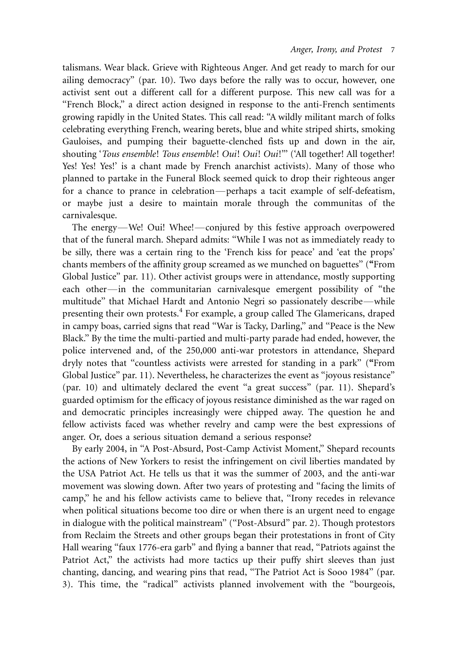talismans. Wear black. Grieve with Righteous Anger. And get ready to march for our ailing democracy'' (par. 10). Two days before the rally was to occur, however, one activist sent out a different call for a different purpose. This new call was for a "French Block," a direct action designed in response to the anti-French sentiments growing rapidly in the United States. This call read: ''A wildly militant march of folks celebrating everything French, wearing berets, blue and white striped shirts, smoking Gauloises, and pumping their baguette-clenched fists up and down in the air, shouting 'Tous ensemble! Tous ensemble! Oui! Oui! Oui!"' ('All together! All together! Yes! Yes! Yes!' is a chant made by French anarchist activists). Many of those who planned to partake in the Funeral Block seemed quick to drop their righteous anger for a chance to prance in celebration-perhaps a tacit example of self-defeatism, or maybe just a desire to maintain morale through the communitas of the carnivalesque.

The energy—We! Oui! Whee!—conjured by this festive approach overpowered that of the funeral march. Shepard admits: ''While I was not as immediately ready to be silly, there was a certain ring to the 'French kiss for peace' and 'eat the props' chants members of the affinity group screamed as we munched on baguettes'' (''From Global Justice'' par. 11). Other activist groups were in attendance, mostly supporting each other-in the communitarian carnivalesque emergent possibility of "the multitude" that Michael Hardt and Antonio Negri so passionately describe-while presenting their own protests.<sup>4</sup> For example, a group called The Glamericans, draped in campy boas, carried signs that read ''War is Tacky, Darling,'' and ''Peace is the New Black.'' By the time the multi-partied and multi-party parade had ended, however, the police intervened and, of the 250,000 anti-war protestors in attendance, Shepard dryly notes that ''countless activists were arrested for standing in a park'' (''From Global Justice'' par. 11). Nevertheless, he characterizes the event as ''joyous resistance'' (par. 10) and ultimately declared the event ''a great success'' (par. 11). Shepard's guarded optimism for the efficacy of joyous resistance diminished as the war raged on and democratic principles increasingly were chipped away. The question he and fellow activists faced was whether revelry and camp were the best expressions of anger. Or, does a serious situation demand a serious response?

By early 2004, in ''A Post-Absurd, Post-Camp Activist Moment,'' Shepard recounts the actions of New Yorkers to resist the infringement on civil liberties mandated by the USA Patriot Act. He tells us that it was the summer of 2003, and the anti-war movement was slowing down. After two years of protesting and ''facing the limits of camp,'' he and his fellow activists came to believe that, ''Irony recedes in relevance when political situations become too dire or when there is an urgent need to engage in dialogue with the political mainstream'' (''Post-Absurd'' par. 2). Though protestors from Reclaim the Streets and other groups began their protestations in front of City Hall wearing "faux 1776-era garb" and flying a banner that read, "Patriots against the Patriot Act," the activists had more tactics up their puffy shirt sleeves than just chanting, dancing, and wearing pins that read, ''The Patriot Act is Sooo 1984'' (par. 3). This time, the ''radical'' activists planned involvement with the ''bourgeois,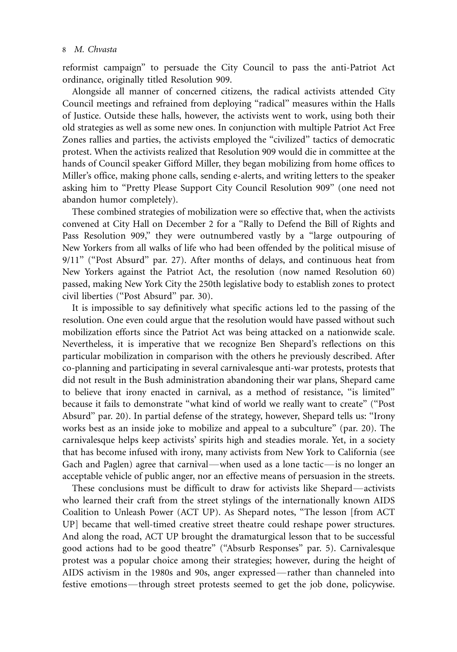reformist campaign'' to persuade the City Council to pass the anti-Patriot Act ordinance, originally titled Resolution 909.

Alongside all manner of concerned citizens, the radical activists attended City Council meetings and refrained from deploying ''radical'' measures within the Halls of Justice. Outside these halls, however, the activists went to work, using both their old strategies as well as some new ones. In conjunction with multiple Patriot Act Free Zones rallies and parties, the activists employed the ''civilized'' tactics of democratic protest. When the activists realized that Resolution 909 would die in committee at the hands of Council speaker Gifford Miller, they began mobilizing from home offices to Miller's office, making phone calls, sending e-alerts, and writing letters to the speaker asking him to ''Pretty Please Support City Council Resolution 909'' (one need not abandon humor completely).

These combined strategies of mobilization were so effective that, when the activists convened at City Hall on December 2 for a ''Rally to Defend the Bill of Rights and Pass Resolution 909," they were outnumbered vastly by a "large outpouring of New Yorkers from all walks of life who had been offended by the political misuse of 9/11'' (''Post Absurd'' par. 27). After months of delays, and continuous heat from New Yorkers against the Patriot Act, the resolution (now named Resolution 60) passed, making New York City the 250th legislative body to establish zones to protect civil liberties (''Post Absurd'' par. 30).

It is impossible to say definitively what specific actions led to the passing of the resolution. One even could argue that the resolution would have passed without such mobilization efforts since the Patriot Act was being attacked on a nationwide scale. Nevertheless, it is imperative that we recognize Ben Shepard's reflections on this particular mobilization in comparison with the others he previously described. After co-planning and participating in several carnivalesque anti-war protests, protests that did not result in the Bush administration abandoning their war plans, Shepard came to believe that irony enacted in carnival, as a method of resistance, ''is limited'' because it fails to demonstrate ''what kind of world we really want to create'' (''Post Absurd'' par. 20). In partial defense of the strategy, however, Shepard tells us: ''Irony works best as an inside joke to mobilize and appeal to a subculture'' (par. 20). The carnivalesque helps keep activists' spirits high and steadies morale. Yet, in a society that has become infused with irony, many activists from New York to California (see Gach and Paglen) agree that carnival—when used as a lone tactic—is no longer an acceptable vehicle of public anger, nor an effective means of persuasion in the streets.

These conclusions must be difficult to draw for activists like Shepard—activists who learned their craft from the street stylings of the internationally known AIDS Coalition to Unleash Power (ACT UP). As Shepard notes, ''The lesson [from ACT UP] became that well-timed creative street theatre could reshape power structures. And along the road, ACT UP brought the dramaturgical lesson that to be successful good actions had to be good theatre'' (''Absurb Responses'' par. 5). Carnivalesque protest was a popular choice among their strategies; however, during the height of AIDS activism in the 1980s and 90s, anger expressed—rather than channeled into festive emotions—through street protests seemed to get the job done, policywise.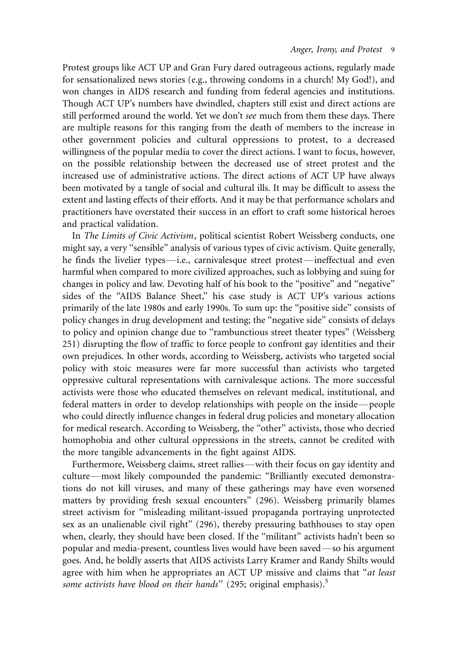Protest groups like ACT UP and Gran Fury dared outrageous actions, regularly made for sensationalized news stories (e.g., throwing condoms in a church! My God!), and won changes in AIDS research and funding from federal agencies and institutions. Though ACT UP's numbers have dwindled, chapters still exist and direct actions are still performed around the world. Yet we don't see much from them these days. There are multiple reasons for this ranging from the death of members to the increase in other government policies and cultural oppressions to protest, to a decreased willingness of the popular media to cover the direct actions. I want to focus, however, on the possible relationship between the decreased use of street protest and the increased use of administrative actions. The direct actions of ACT UP have always been motivated by a tangle of social and cultural ills. It may be difficult to assess the extent and lasting effects of their efforts. And it may be that performance scholars and practitioners have overstated their success in an effort to craft some historical heroes and practical validation.

In The Limits of Civic Activism, political scientist Robert Weissberg conducts, one might say, a very "sensible" analysis of various types of civic activism. Quite generally, he finds the livelier types—i.e., carnivalesque street protest—ineffectual and even harmful when compared to more civilized approaches, such as lobbying and suing for changes in policy and law. Devoting half of his book to the ''positive'' and ''negative'' sides of the ''AIDS Balance Sheet,'' his case study is ACT UP's various actions primarily of the late 1980s and early 1990s. To sum up: the ''positive side'' consists of policy changes in drug development and testing; the ''negative side'' consists of delays to policy and opinion change due to ''rambunctious street theater types'' (Weissberg 251) disrupting the flow of traffic to force people to confront gay identities and their own prejudices. In other words, according to Weissberg, activists who targeted social policy with stoic measures were far more successful than activists who targeted oppressive cultural representations with carnivalesque actions. The more successful activists were those who educated themselves on relevant medical, institutional, and federal matters in order to develop relationships with people on the inside\*/people who could directly influence changes in federal drug policies and monetary allocation for medical research. According to Weissberg, the ''other'' activists, those who decried homophobia and other cultural oppressions in the streets, cannot be credited with the more tangible advancements in the fight against AIDS.

Furthermore, Weissberg claims, street rallies—with their focus on gay identity and culture—most likely compounded the pandemic: "Brilliantly executed demonstrations do not kill viruses, and many of these gatherings may have even worsened matters by providing fresh sexual encounters'' (296). Weissberg primarily blames street activism for ''misleading militant-issued propaganda portraying unprotected sex as an unalienable civil right'' (296), thereby pressuring bathhouses to stay open when, clearly, they should have been closed. If the ''militant'' activists hadn't been so popular and media-present, countless lives would have been saved—so his argument goes. And, he boldly asserts that AIDS activists Larry Kramer and Randy Shilts would agree with him when he appropriates an ACT UP missive and claims that "at least some activists have blood on their hands" (295; original emphasis).<sup>5</sup>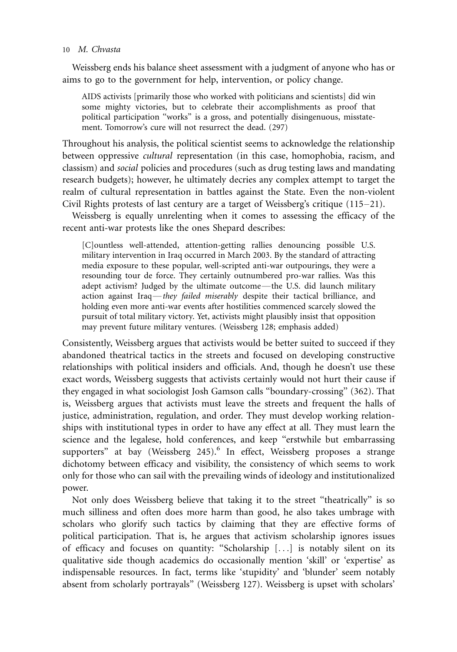Weissberg ends his balance sheet assessment with a judgment of anyone who has or aims to go to the government for help, intervention, or policy change.

AIDS activists [primarily those who worked with politicians and scientists] did win some mighty victories, but to celebrate their accomplishments as proof that political participation ''works'' is a gross, and potentially disingenuous, misstatement. Tomorrow's cure will not resurrect the dead. (297)

Throughout his analysis, the political scientist seems to acknowledge the relationship between oppressive cultural representation (in this case, homophobia, racism, and classism) and social policies and procedures (such as drug testing laws and mandating research budgets); however, he ultimately decries any complex attempt to target the realm of cultural representation in battles against the State. Even the non-violent Civil Rights protests of last century are a target of Weissberg's critique (115–21).

Weissberg is equally unrelenting when it comes to assessing the efficacy of the recent anti-war protests like the ones Shepard describes:

[C]ountless well-attended, attention-getting rallies denouncing possible U.S. military intervention in Iraq occurred in March 2003. By the standard of attracting media exposure to these popular, well-scripted anti-war outpourings, they were a resounding tour de force. They certainly outnumbered pro-war rallies. Was this adept activism? Judged by the ultimate outcome—the U.S. did launch military action against Iraq—they failed miserably despite their tactical brilliance, and holding even more anti-war events after hostilities commenced scarcely slowed the pursuit of total military victory. Yet, activists might plausibly insist that opposition may prevent future military ventures. (Weissberg 128; emphasis added)

Consistently, Weissberg argues that activists would be better suited to succeed if they abandoned theatrical tactics in the streets and focused on developing constructive relationships with political insiders and officials. And, though he doesn't use these exact words, Weissberg suggests that activists certainly would not hurt their cause if they engaged in what sociologist Josh Gamson calls ''boundary-crossing'' (362). That is, Weissberg argues that activists must leave the streets and frequent the halls of justice, administration, regulation, and order. They must develop working relationships with institutional types in order to have any effect at all. They must learn the science and the legalese, hold conferences, and keep "erstwhile but embarrassing supporters" at bay (Weissberg 245).<sup>6</sup> In effect, Weissberg proposes a strange dichotomy between efficacy and visibility, the consistency of which seems to work only for those who can sail with the prevailing winds of ideology and institutionalized power.

Not only does Weissberg believe that taking it to the street ''theatrically'' is so much silliness and often does more harm than good, he also takes umbrage with scholars who glorify such tactics by claiming that they are effective forms of political participation. That is, he argues that activism scholarship ignores issues of efficacy and focuses on quantity: ''Scholarship [...] is notably silent on its qualitative side though academics do occasionally mention 'skill' or 'expertise' as indispensable resources. In fact, terms like 'stupidity' and 'blunder' seem notably absent from scholarly portrayals'' (Weissberg 127). Weissberg is upset with scholars'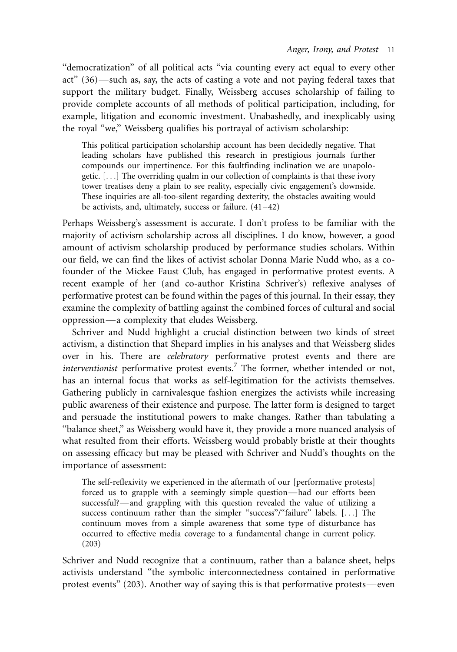''democratization'' of all political acts ''via counting every act equal to every other act"  $(36)$ —such as, say, the acts of casting a vote and not paying federal taxes that support the military budget. Finally, Weissberg accuses scholarship of failing to provide complete accounts of all methods of political participation, including, for example, litigation and economic investment. Unabashedly, and inexplicably using the royal ''we,'' Weissberg qualifies his portrayal of activism scholarship:

This political participation scholarship account has been decidedly negative. That leading scholars have published this research in prestigious journals further compounds our impertinence. For this faultfinding inclination we are unapologetic. [...] The overriding qualm in our collection of complaints is that these ivory tower treatises deny a plain to see reality, especially civic engagement's downside. These inquiries are all-too-silent regarding dexterity, the obstacles awaiting would be activists, and, ultimately, success or failure.  $(41-42)$ 

Perhaps Weissberg's assessment is accurate. I don't profess to be familiar with the majority of activism scholarship across all disciplines. I do know, however, a good amount of activism scholarship produced by performance studies scholars. Within our field, we can find the likes of activist scholar Donna Marie Nudd who, as a cofounder of the Mickee Faust Club, has engaged in performative protest events. A recent example of her (and co-author Kristina Schriver's) reflexive analyses of performative protest can be found within the pages of this journal. In their essay, they examine the complexity of battling against the combined forces of cultural and social oppression\*/a complexity that eludes Weissberg.

Schriver and Nudd highlight a crucial distinction between two kinds of street activism, a distinction that Shepard implies in his analyses and that Weissberg slides over in his. There are celebratory performative protest events and there are interventionist performative protest events.<sup>7</sup> The former, whether intended or not, has an internal focus that works as self-legitimation for the activists themselves. Gathering publicly in carnivalesque fashion energizes the activists while increasing public awareness of their existence and purpose. The latter form is designed to target and persuade the institutional powers to make changes. Rather than tabulating a ''balance sheet,'' as Weissberg would have it, they provide a more nuanced analysis of what resulted from their efforts. Weissberg would probably bristle at their thoughts on assessing efficacy but may be pleased with Schriver and Nudd's thoughts on the importance of assessment:

The self-reflexivity we experienced in the aftermath of our [performative protests] forced us to grapple with a seemingly simple question—had our efforts been successful?—and grappling with this question revealed the value of utilizing a success continuum rather than the simpler "success"/"failure" labels. [...] The continuum moves from a simple awareness that some type of disturbance has occurred to effective media coverage to a fundamental change in current policy. (203)

Schriver and Nudd recognize that a continuum, rather than a balance sheet, helps activists understand ''the symbolic interconnectedness contained in performative protest events" (203). Another way of saying this is that performative protests—even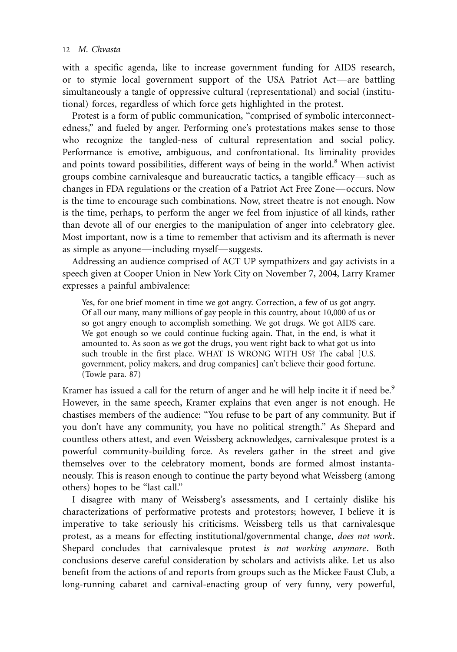with a specific agenda, like to increase government funding for AIDS research, or to stymie local government support of the USA Patriot Act—are battling simultaneously a tangle of oppressive cultural (representational) and social (institutional) forces, regardless of which force gets highlighted in the protest.

Protest is a form of public communication, ''comprised of symbolic interconnectedness,'' and fueled by anger. Performing one's protestations makes sense to those who recognize the tangled-ness of cultural representation and social policy. Performance is emotive, ambiguous, and confrontational. Its liminality provides and points toward possibilities, different ways of being in the world. $8$  When activist groups combine carnivalesque and bureaucratic tactics, a tangible efficacy—such as changes in FDA regulations or the creation of a Patriot Act Free Zone—occurs. Now is the time to encourage such combinations. Now, street theatre is not enough. Now is the time, perhaps, to perform the anger we feel from injustice of all kinds, rather than devote all of our energies to the manipulation of anger into celebratory glee. Most important, now is a time to remember that activism and its aftermath is never as simple as anyone—including myself—suggests.

Addressing an audience comprised of ACT UP sympathizers and gay activists in a speech given at Cooper Union in New York City on November 7, 2004, Larry Kramer expresses a painful ambivalence:

Yes, for one brief moment in time we got angry. Correction, a few of us got angry. Of all our many, many millions of gay people in this country, about 10,000 of us or so got angry enough to accomplish something. We got drugs. We got AIDS care. We got enough so we could continue fucking again. That, in the end, is what it amounted to. As soon as we got the drugs, you went right back to what got us into such trouble in the first place. WHAT IS WRONG WITH US? The cabal [U.S. government, policy makers, and drug companies] can't believe their good fortune. (Towle para. 87)

Kramer has issued a call for the return of anger and he will help incite it if need be.<sup>9</sup> However, in the same speech, Kramer explains that even anger is not enough. He chastises members of the audience: ''You refuse to be part of any community. But if you don't have any community, you have no political strength.'' As Shepard and countless others attest, and even Weissberg acknowledges, carnivalesque protest is a powerful community-building force. As revelers gather in the street and give themselves over to the celebratory moment, bonds are formed almost instantaneously. This is reason enough to continue the party beyond what Weissberg (among others) hopes to be ''last call.''

I disagree with many of Weissberg's assessments, and I certainly dislike his characterizations of performative protests and protestors; however, I believe it is imperative to take seriously his criticisms. Weissberg tells us that carnivalesque protest, as a means for effecting institutional/governmental change, does not work. Shepard concludes that carnivalesque protest is not working anymore. Both conclusions deserve careful consideration by scholars and activists alike. Let us also benefit from the actions of and reports from groups such as the Mickee Faust Club, a long-running cabaret and carnival-enacting group of very funny, very powerful,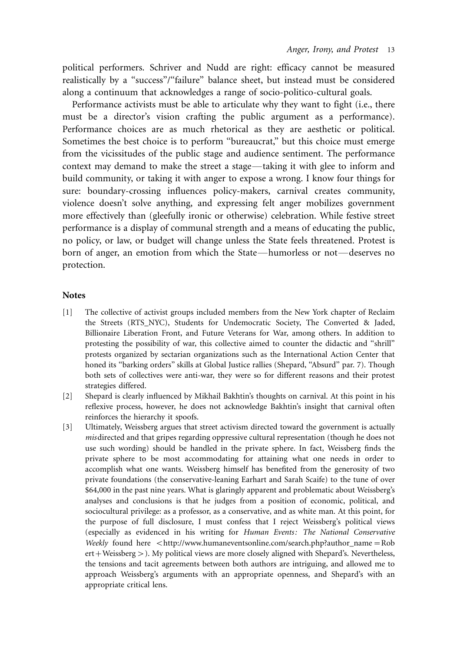political performers. Schriver and Nudd are right: efficacy cannot be measured realistically by a ''success''/''failure'' balance sheet, but instead must be considered along a continuum that acknowledges a range of socio-politico-cultural goals.

Performance activists must be able to articulate why they want to fight (i.e., there must be a director's vision crafting the public argument as a performance). Performance choices are as much rhetorical as they are aesthetic or political. Sometimes the best choice is to perform ''bureaucrat,'' but this choice must emerge from the vicissitudes of the public stage and audience sentiment. The performance context may demand to make the street a stage—taking it with glee to inform and build community, or taking it with anger to expose a wrong. I know four things for sure: boundary-crossing influences policy-makers, carnival creates community, violence doesn't solve anything, and expressing felt anger mobilizes government more effectively than (gleefully ironic or otherwise) celebration. While festive street performance is a display of communal strength and a means of educating the public, no policy, or law, or budget will change unless the State feels threatened. Protest is born of anger, an emotion from which the State—humorless or not—deserves no protection.

#### **Notes**

- [1] The collective of activist groups included members from the New York chapter of Reclaim the Streets (RTS\_NYC), Students for Undemocratic Society, The Converted & Jaded, Billionaire Liberation Front, and Future Veterans for War, among others. In addition to protesting the possibility of war, this collective aimed to counter the didactic and ''shrill'' protests organized by sectarian organizations such as the International Action Center that honed its ''barking orders'' skills at Global Justice rallies (Shepard, ''Absurd'' par. 7). Though both sets of collectives were anti-war, they were so for different reasons and their protest strategies differed.
- [2] Shepard is clearly influenced by Mikhail Bakhtin's thoughts on carnival. At this point in his reflexive process, however, he does not acknowledge Bakhtin's insight that carnival often reinforces the hierarchy it spoofs.
- [3] Ultimately, Weissberg argues that street activism directed toward the government is actually misdirected and that gripes regarding oppressive cultural representation (though he does not use such wording) should be handled in the private sphere. In fact, Weissberg finds the private sphere to be most accommodating for attaining what one needs in order to accomplish what one wants. Weissberg himself has benefited from the generosity of two private foundations (the conservative-leaning Earhart and Sarah Scaife) to the tune of over \$64,000 in the past nine years. What is glaringly apparent and problematic about Weissberg's analyses and conclusions is that he judges from a position of economic, political, and sociocultural privilege: as a professor, as a conservative, and as white man. At this point, for the purpose of full disclosure, I must confess that I reject Weissberg's political views (especially as evidenced in his writing for Human Events: The National Conservative Weekly found here  $\lt$ http://www.humaneventsonline.com/search.php?author\_name=Rob ert + Weissberg > ). My political views are more closely aligned with Shepard's. Nevertheless, the tensions and tacit agreements between both authors are intriguing, and allowed me to approach Weissberg's arguments with an appropriate openness, and Shepard's with an appropriate critical lens.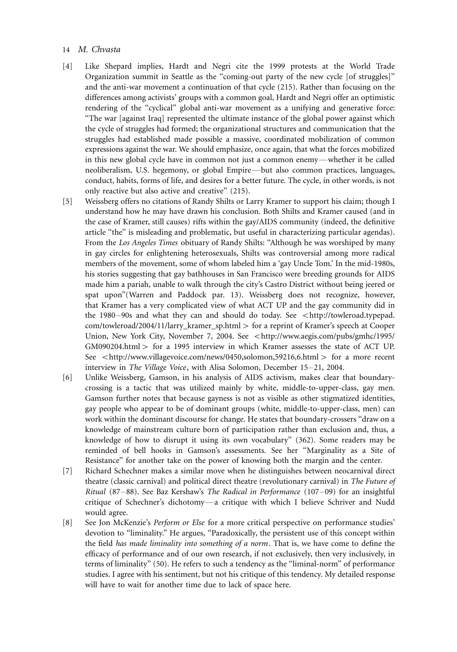- [4] Like Shepard implies, Hardt and Negri cite the 1999 protests at the World Trade Organization summit in Seattle as the ''coming-out party of the new cycle [of struggles]'' and the anti-war movement a continuation of that cycle (215). Rather than focusing on the differences among activists' groups with a common goal, Hardt and Negri offer an optimistic rendering of the "cyclical" global anti-war movement as a unifying and generative force: ''The war [against Iraq] represented the ultimate instance of the global power against which the cycle of struggles had formed; the organizational structures and communication that the struggles had established made possible a massive, coordinated mobilization of common expressions against the war. We should emphasize, once again, that what the forces mobilized in this new global cycle have in common not just a common enemy-whether it be called neoliberalism, U.S. hegemony, or global Empire—but also common practices, languages, conduct, habits, forms of life, and desires for a better future. The cycle, in other words, is not only reactive but also active and creative'' (215).
- [5] Weissberg offers no citations of Randy Shilts or Larry Kramer to support his claim; though I understand how he may have drawn his conclusion. Both Shilts and Kramer caused (and in the case of Kramer, still causes) rifts within the gay/AIDS community (indeed, the definitive article ''the'' is misleading and problematic, but useful in characterizing particular agendas). From the Los Angeles Times obituary of Randy Shilts: ''Although he was worshiped by many in gay circles for enlightening heterosexuals, Shilts was controversial among more radical members of the movement, some of whom labeled him a 'gay Uncle Tom.' In the mid-1980s, his stories suggesting that gay bathhouses in San Francisco were breeding grounds for AIDS made him a pariah, unable to walk through the city's Castro District without being jeered or spat upon''(Warren and Paddock par. 13). Weissberg does not recognize, however, that Kramer has a very complicated view of what ACT UP and the gay community did in the 1980-90s and what they can and should do today. See <http://towleroad.typepad. com/towleroad/2004/11/larry\_kramer\_sp.html > for a reprint of Kramer's speech at Cooper Union, New York City, November 7, 2004. See <http://www.aegis.com/pubs/gmhc/1995/  $GM090204.html$  > for a 1995 interview in which Kramer assesses the state of ACT UP. See <http://www.villagevoice.com/news/0450,solomon,59216,6.html > for a more recent interview in The Village Voice, with Alisa Solomon, December 15–21, 2004.
- [6] Unlike Weissberg, Gamson, in his analysis of AIDS activism, makes clear that boundarycrossing is a tactic that was utilized mainly by white, middle-to-upper-class, gay men. Gamson further notes that because gayness is not as visible as other stigmatized identities, gay people who appear to be of dominant groups (white, middle-to-upper-class, men) can work within the dominant discourse for change. He states that boundary-crossers ''draw on a knowledge of mainstream culture born of participation rather than exclusion and, thus, a knowledge of how to disrupt it using its own vocabulary'' (362). Some readers may be reminded of bell hooks in Gamson's assessments. See her ''Marginality as a Site of Resistance'' for another take on the power of knowing both the margin and the center.
- [7] Richard Schechner makes a similar move when he distinguishes between neocarnival direct theatre (classic carnival) and political direct theatre (revolutionary carnival) in The Future of Ritual (87-88). See Baz Kershaw's The Radical in Performance (107-09) for an insightful critique of Schechner's dichotomy\*/a critique with which I believe Schriver and Nudd would agree.
- [8] See Jon McKenzie's *Perform or Else* for a more critical perspective on performance studies' devotion to "liminality." He argues, "Paradoxically, the persistent use of this concept within the field has made liminality into something of a norm. That is, we have come to define the efficacy of performance and of our own research, if not exclusively, then very inclusively, in terms of liminality'' (50). He refers to such a tendency as the ''liminal-norm'' of performance studies. I agree with his sentiment, but not his critique of this tendency. My detailed response will have to wait for another time due to lack of space here.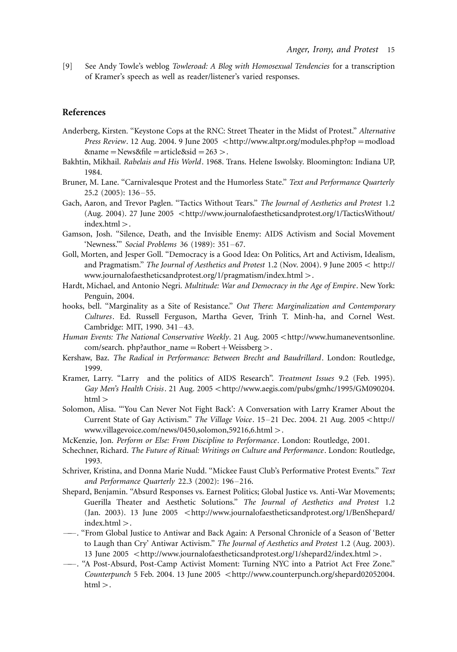[9] See Andy Towle's weblog *Towleroad: A Blog with Homosexual Tendencies* for a transcription of Kramer's speech as well as reader/listener's varied responses.

#### References

- Anderberg, Kirsten. ''Keystone Cops at the RNC: Street Theater in the Midst of Protest.'' Alternative *Press Review.* 12 Aug. 2004. 9 June 2005  $\lt$ http://www.altpr.org/modules.php?op = modload  $\text{Range} = \text{News} \& \text{file} = \text{article} \& \text{side} = 263>.$
- Bakhtin, Mikhail. Rabelais and His World. 1968. Trans. Helene Iswolsky. Bloomington: Indiana UP, 1984.
- Bruner, M. Lane. "Carnivalesque Protest and the Humorless State." Text and Performance Quarterly 25.2 (2005): 136–55.
- Gach, Aaron, and Trevor Paglen. ''Tactics Without Tears.'' The Journal of Aesthetics and Protest 1.2 (Aug. 2004). 27 June 2005 <http://www.journalofaestheticsandprotest.org/1/TacticsWithout/  $index.html$ .
- Gamson, Josh. ''Silence, Death, and the Invisible Enemy: AIDS Activism and Social Movement 'Newness."" Social Problems 36 (1989): 351-67.
- Goll, Morten, and Jesper Goll. ''Democracy is a Good Idea: On Politics, Art and Activism, Idealism, and Pragmatism." The Journal of Aesthetics and Protest 1.2 (Nov. 2004). 9 June 2005  $<$  http:// www.journalofaestheticsandprotest.org/1/pragmatism/index.html-/.
- Hardt, Michael, and Antonio Negri. Multitude: War and Democracy in the Age of Empire. New York: Penguin, 2004.
- hooks, bell. "Marginality as a Site of Resistance." Out There: Marginalization and Contemporary Cultures. Ed. Russell Ferguson, Martha Gever, Trinh T. Minh-ha, and Cornel West. Cambridge: MIT, 1990. 341-43.
- Human Events: The National Conservative Weekly. 21 Aug. 2005 < http://www.humaneventsonline. com/search. php?author\_name = Robert + Weissberg >.
- Kershaw, Baz. The Radical in Performance: Between Brecht and Baudrillard. London: Routledge, 1999.
- Kramer, Larry. "Larry and the politics of AIDS Research". Treatment Issues 9.2 (Feb. 1995). Gay Men's Health Crisis. 21 Aug. 2005 <http://www.aegis.com/pubs/gmhc/1995/GM090204. html >
- Solomon, Alisa. '''You Can Never Not Fight Back': A Conversation with Larry Kramer About the Current State of Gay Activism." The Village Voice. 15-21 Dec. 2004. 21 Aug. 2005 <http:// www.villagevoice.com/news/0450,solomon,59216,6.html-/.
- McKenzie, Jon. Perform or Else: From Discipline to Performance. London: Routledge, 2001.
- Schechner, Richard. The Future of Ritual: Writings on Culture and Performance. London: Routledge, 1993.
- Schriver, Kristina, and Donna Marie Nudd. ''Mickee Faust Club's Performative Protest Events.'' Text and Performance Quarterly 22.3 (2002): 196–216.
- Shepard, Benjamin. ''Absurd Responses vs. Earnest Politics; Global Justice vs. Anti-War Movements; Guerilla Theater and Aesthetic Solutions.'' The Journal of Aesthetics and Protest 1.2 (Jan. 2003). 13 June 2005 <http://www.journalofaestheticsandprotest.org/1/BenShepard/  $index.html$ .
- -- . "From Global Justice to Antiwar and Back Again: A Personal Chronicle of a Season of 'Better to Laugh than Cry' Antiwar Activism.'' The Journal of Aesthetics and Protest 1.2 (Aug. 2003). 13 June 2005 <http://www.journalofaestheticsandprotest.org/1/shepard2/index.html >.
- <sup>----</sup>. "A Post-Absurd, Post-Camp Activist Moment: Turning NYC into a Patriot Act Free Zone." Counterpunch 5 Feb. 2004. 13 June 2005 <http://www.counterpunch.org/shepard02052004.  $\mathrm{html}$   $>$  .